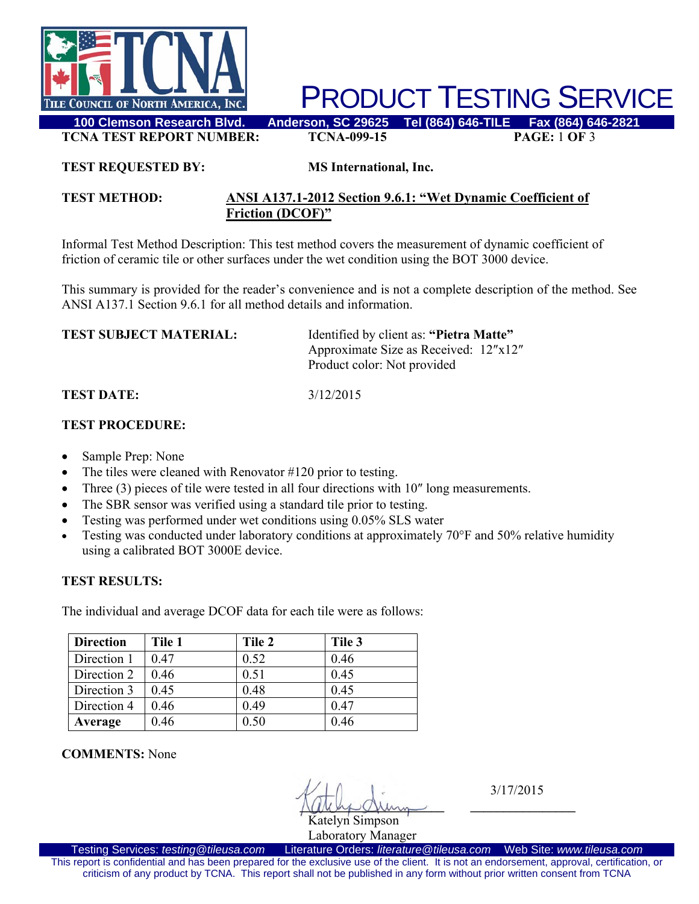

PRODUCT TESTING SERVICE

**TCNA TEST REPORT NUMBER: TCNA-099-15 PAGE:** 1 **OF** 3

#### **TEST REQUESTED BY: MS International, Inc.**

### **TEST METHOD: ANSI A137.1-2012 Section 9.6.1: "Wet Dynamic Coefficient of Friction (DCOF)"**

Informal Test Method Description: This test method covers the measurement of dynamic coefficient of friction of ceramic tile or other surfaces under the wet condition using the BOT 3000 device.

This summary is provided for the reader's convenience and is not a complete description of the method. See ANSI A137.1 Section 9.6.1 for all method details and information.

| <b>TEST SUBJECT MATERIAL:</b> | Identified by client as: "Pietra Matte" |
|-------------------------------|-----------------------------------------|
|                               | Approximate Size as Received: 12"x12"   |
|                               | Product color: Not provided             |
|                               |                                         |

#### **TEST DATE:** 3/12/2015

## **TEST PROCEDURE:**

- Sample Prep: None
- The tiles were cleaned with Renovator #120 prior to testing.
- Three (3) pieces of tile were tested in all four directions with 10" long measurements.
- The SBR sensor was verified using a standard tile prior to testing.
- Testing was performed under wet conditions using 0.05% SLS water
- Testing was conducted under laboratory conditions at approximately 70°F and 50% relative humidity using a calibrated BOT 3000E device.

# **TEST RESULTS:**

The individual and average DCOF data for each tile were as follows:

| <b>Direction</b> | Tile 1 | Tile 2 | Tile 3 |
|------------------|--------|--------|--------|
| Direction 1      | 0.47   | 0.52   | 0.46   |
| Direction 2      | 0.46   | 0.51   | 0.45   |
| Direction 3      | 0.45   | 0.48   | 0.45   |
| Direction 4      | 0.46   | 0.49   | 0.47   |
| Average          | 0.46   | 0.50   | 0.46   |

**COMMENTS:** None

 $\mathcal{N}$   $\Box$  3/17/2015  $\sqrt{(\mu\mu)}\mathcal{Q}\mu m$ 

Katelyn Simpson Laboratory Manager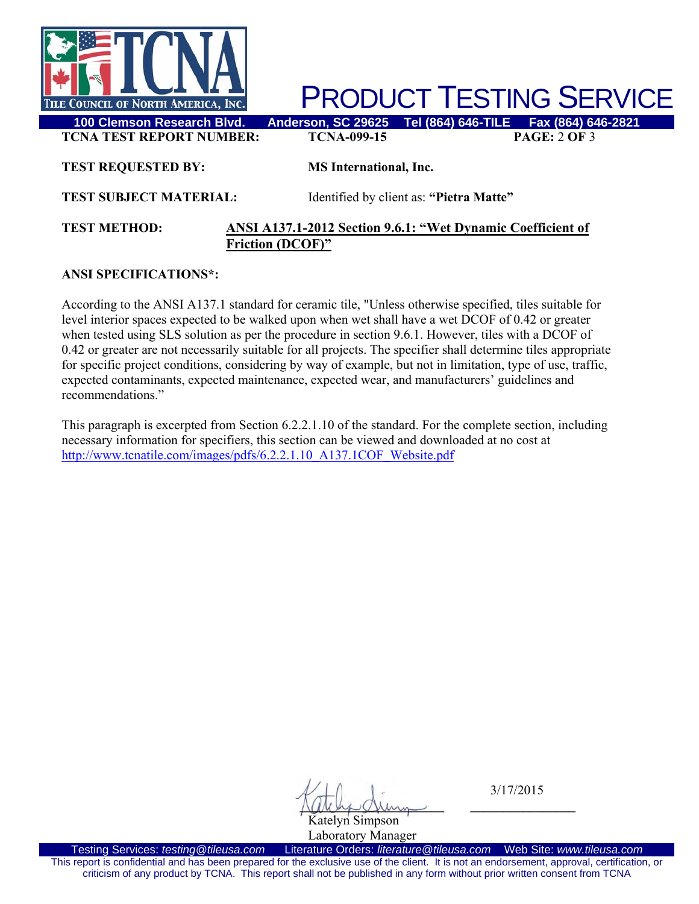

**PRODUCT TESTING SERVICE**<br>FSON, SC 29625 Tel (864) 646-TILE Fax (864) 646-2821

**TCNA TEST REPORT NUMBER: TCNA-099-15 PAGE:** 2 **OF** 3

**TEST REQUESTED BY: MS International, Inc.** 

**TEST SUBJECT MATERIAL:** Identified by client as: **"Pietra Matte"** 

### **TEST METHOD: ANSI A137.1-2012 Section 9.6.1: "Wet Dynamic Coefficient of Friction (DCOF)"**

# **ANSI SPECIFICATIONS\*:**

According to the ANSI A137.1 standard for ceramic tile, "Unless otherwise specified, tiles suitable for level interior spaces expected to be walked upon when wet shall have a wet DCOF of 0.42 or greater when tested using SLS solution as per the procedure in section 9.6.1. However, tiles with a DCOF of 0.42 or greater are not necessarily suitable for all projects. The specifier shall determine tiles appropriate for specific project conditions, considering by way of example, but not in limitation, type of use, traffic, expected contaminants, expected maintenance, expected wear, and manufacturers' guidelines and recommendations."

This paragraph is excerpted from Section 6.2.2.1.10 of the standard. For the complete section, including necessary information for specifiers, this section can be viewed and downloaded at no cost at http://www.tcnatile.com/images/pdfs/6.2.2.1.10\_A137.1COF\_Website.pdf

 $\mathcal{N}$   $\Box$  3/17/2015  $\sqrt{(\mu\mu)}\mathcal{Q}\mu m$ 

Katelyn Simpson Laboratory Manager

Testing Services: *testing@tileusa.com* Literature Orders: *literature@tileusa.com* Web Site: *www.tileusa.com* This report is confidential and has been prepared for the exclusive use of the client. It is not an endorsement, approval, certification, or criticism of any product by TCNA. This report shall not be published in any form without prior written consent from TCNA